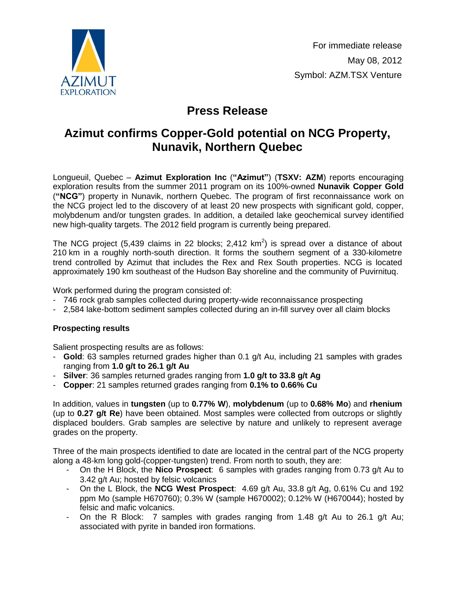

# **Press Release**

## **Azimut confirms Copper-Gold potential on NCG Property, Nunavik, Northern Quebec**

Longueuil, Quebec – **Azimut Exploration Inc** (**"Azimut"**) (**TSXV: AZM**) reports encouraging exploration results from the summer 2011 program on its 100%-owned **Nunavik Copper Gold** (**"NCG"**) property in Nunavik, northern Quebec. The program of first reconnaissance work on the NCG project led to the discovery of at least 20 new prospects with significant gold, copper, molybdenum and/or tungsten grades. In addition, a detailed lake geochemical survey identified new high-quality targets. The 2012 field program is currently being prepared.

The NCG project (5,439 claims in 22 blocks; 2,412  $km^2$ ) is spread over a distance of about 210 km in a roughly north-south direction. It forms the southern segment of a 330-kilometre trend controlled by Azimut that includes the Rex and Rex South properties. NCG is located approximately 190 km southeast of the Hudson Bay shoreline and the community of Puvirnituq.

Work performed during the program consisted of:

- 746 rock grab samples collected during property-wide reconnaissance prospecting
- 2,584 lake-bottom sediment samples collected during an in-fill survey over all claim blocks

## **Prospecting results**

Salient prospecting results are as follows:

- **Gold**: 63 samples returned grades higher than 0.1 g/t Au, including 21 samples with grades ranging from **1.0 g/t to 26.1 g/t Au**
- **Silver**: 36 samples returned grades ranging from **1.0 g/t to 33.8 g/t Ag**
- **Copper**: 21 samples returned grades ranging from **0.1% to 0.66% Cu**

In addition, values in **tungsten** (up to **0.77% W**), **molybdenum** (up to **0.68% Mo**) and **rhenium** (up to **0.27 g/t Re**) have been obtained. Most samples were collected from outcrops or slightly displaced boulders. Grab samples are selective by nature and unlikely to represent average grades on the property.

Three of the main prospects identified to date are located in the central part of the NCG property along a 48-km long gold-(copper-tungsten) trend. From north to south, they are:

- On the H Block, the **Nico Prospect**: 6 samples with grades ranging from 0.73 g/t Au to 3.42 g/t Au; hosted by felsic volcanics
- On the L Block, the **NCG West Prospect**: 4.69 g/t Au, 33.8 g/t Ag, 0.61% Cu and 192 ppm Mo (sample H670760); 0.3% W (sample H670002); 0.12% W (H670044); hosted by felsic and mafic volcanics.
- On the R Block: 7 samples with grades ranging from 1.48 g/t Au to 26.1 g/t Au; associated with pyrite in banded iron formations.